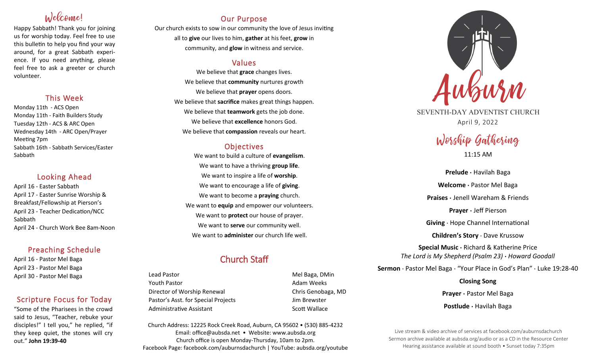# Welcome!

Happy Sabbath! Thank you for joining us for worship today. Feel free to use this bulletin to help you find your way around, for a great Sabbath experience. If you need anything, please feel free to ask a greeter or church volunteer.

## This Week

Monday 11th - ACS Open Monday 11th - Faith Builders Study Tuesday 12th - ACS & ARC Open Wednesday 14th - ARC Open/Prayer Meeting 7pm Sabbath 16th - Sabbath Services/Easter Sabbath

### Looking Ahead

April 16 - Easter Sabbath April 17 - Easter Sunrise Worship & Breakfast/Fellowship at Pierson's April 23 - Teacher Dedication/NCC Sabbath April 24 - Church Work Bee 8am-Noon

## Preaching Schedule

April 16 - Pastor Mel Baga April 23 - Pastor Mel Baga April 30 - Pastor Mel Baga

## Scripture Focus for Today

"Some of the Pharisees in the crowd said to Jesus, "Teacher, rebuke your disciples!" I tell you," he replied, "if they keep quiet, the stones will cry out." **John 19:39-40**

## Our Purpose

Our church exists to sow in our community the love of Jesus inviting all to **give** our lives to him, **gather** at his feet, **grow** in community, and **glow** in witness and service.

## Values

We believe that **grace** changes lives. We believe that **community** nurtures growth We believe that **prayer** opens doors. We believe that **sacrifice** makes great things happen. We believe that **teamwork** gets the job done. We believe that **excellence** honors God. We believe that **compassion** reveals our heart.

## **Objectives**

We want to build a culture of **evangelism**. We want to have a thriving **group life**. We want to inspire a life of **worship**. We want to encourage a life of **giving**. We want to become a **praying** church. We want to **equip** and empower our volunteers. We want to **protect** our house of prayer. We want to **serve** our community well. We want to **administer** our church life well.

## Church Staff

Lead Pastor **Mel Baga, DMin** Youth Pastor **Adam Weeks Adam Weeks** Director of Worship Renewal **Chris Genobaga**, MD Pastor's Asst. for Special Projects Jim Brewster Administrative Assistant National Controllery Scott Wallace

Church Address: 12225 Rock Creek Road, Auburn, CA 95602 • (530) 885-4232 Email: office@aubsda.net • Website: www.aubsda.org Church office is open Monday-Thursday, 10am to 2pm. Facebook Page: facebook.com/auburnsdachurch | YouTube: aubsda.org/youtube



SEVENTH-DAY ADVENTIST CHURCH April 9, 2022

# Worship Gathering 11:15 AM

**Prelude ·** Havilah Baga **Welcome ·** Pastor Mel Baga **Praises ·** Jenell Wareham & Friends **Prayer ·** Jeff Pierson **Giving** · Hope Channel International **Children's Story** · Dave Krussow **Special Music ·** Richard & Katherine Price *The Lord is My Shepherd (Psalm 23)* **·** *Howard Goodall*

**Sermon** · Pastor Mel Baga · "Your Place in God's Plan" · Luke 19:28-40

**Closing Song Prayer ·** Pastor Mel Baga **Postlude ·** Havilah Baga

Live stream & video archive of services at facebook.com/auburnsdachurch Sermon archive available at aubsda.org/audio or as a CD in the Resource Center Hearing assistance available at sound booth • Sunset today 7:35pm